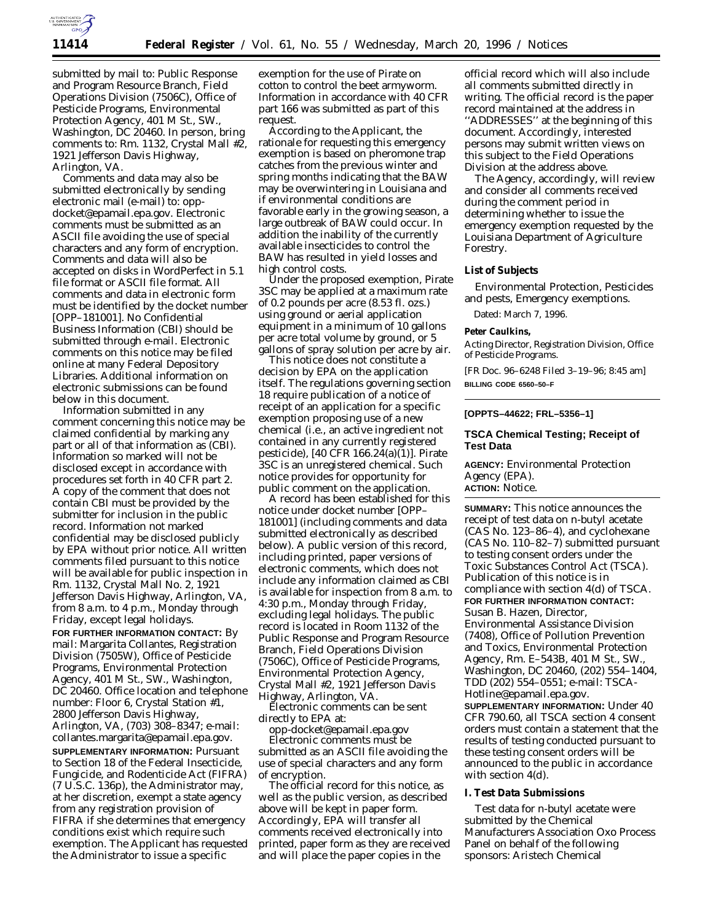

**11414 Federal Register** / Vol. 61, No. 55 / Wednesday, March 20, 1996 / Notices

submitted by mail to: Public Response and Program Resource Branch, Field Operations Division (7506C), Office of Pesticide Programs, Environmental Protection Agency, 401 M St., SW., Washington, DC 20460. In person, bring comments to: Rm. 1132, Crystal Mall #2, 1921 Jefferson Davis Highway, Arlington, VA.

Comments and data may also be submitted electronically by sending electronic mail (e-mail) to: oppdocket@epamail.epa.gov. Electronic comments must be submitted as an ASCII file avoiding the use of special characters and any form of encryption. Comments and data will also be accepted on disks in WordPerfect in 5.1 file format or ASCII file format. All comments and data in electronic form must be identified by the docket number [OPP–181001]. No Confidential Business Information (CBI) should be submitted through e-mail. Electronic comments on this notice may be filed online at many Federal Depository Libraries. Additional information on electronic submissions can be found below in this document.

Information submitted in any comment concerning this notice may be claimed confidential by marking any part or all of that information as (CBI). Information so marked will not be disclosed except in accordance with procedures set forth in 40 CFR part 2. A copy of the comment that does not contain CBI must be provided by the submitter for inclusion in the public record. Information not marked confidential may be disclosed publicly by EPA without prior notice. All written comments filed pursuant to this notice will be available for public inspection in Rm. 1132, Crystal Mall No. 2, 1921 Jefferson Davis Highway, Arlington, VA, from 8 a.m. to 4 p.m., Monday through Friday, except legal holidays.

**FOR FURTHER INFORMATION CONTACT:** By mail: Margarita Collantes, Registration Division (7505W), Office of Pesticide Programs, Environmental Protection Agency, 401 M St., SW., Washington, DC 20460. Office location and telephone number: Floor 6, Crystal Station #1, 2800 Jefferson Davis Highway, Arlington, VA, (703) 308–8347; e-mail: collantes.margarita@epamail.epa.gov. **SUPPLEMENTARY INFORMATION:** Pursuant to Section 18 of the Federal Insecticide, Fungicide, and Rodenticide Act (FIFRA) (7 U.S.C. 136p), the Administrator may, at her discretion, exempt a state agency from any registration provision of FIFRA if she determines that emergency conditions exist which require such exemption. The Applicant has requested the Administrator to issue a specific

exemption for the use of Pirate on cotton to control the beet armyworm. Information in accordance with 40 CFR part 166 was submitted as part of this request.

According to the Applicant, the rationale for requesting this emergency exemption is based on pheromone trap catches from the previous winter and spring months indicating that the BAW may be overwintering in Louisiana and if environmental conditions are favorable early in the growing season, a large outbreak of BAW could occur. In addition the inability of the currently available insecticides to control the BAW has resulted in yield losses and high control costs.

Under the proposed exemption, Pirate 3SC may be applied at a maximum rate of 0.2 pounds per acre (8.53 fl. ozs.) using ground or aerial application equipment in a minimum of 10 gallons per acre total volume by ground, or 5 gallons of spray solution per acre by air.

This notice does not constitute a decision by EPA on the application itself. The regulations governing section 18 require publication of a notice of receipt of an application for a specific exemption proposing use of a new chemical (i.e., an active ingredient not contained in any currently registered pesticide), [40 CFR 166.24(a)(1)]. Pirate 3SC is an unregistered chemical. Such notice provides for opportunity for public comment on the application.

A record has been established for this notice under docket number [OPP– 181001] (including comments and data submitted electronically as described below). A public version of this record, including printed, paper versions of electronic comments, which does not include any information claimed as CBI is available for inspection from 8 a.m. to 4:30 p.m., Monday through Friday, excluding legal holidays. The public record is located in Room 1132 of the Public Response and Program Resource Branch, Field Operations Division (7506C), Office of Pesticide Programs, Environmental Protection Agency, Crystal Mall #2, 1921 Jefferson Davis Highway, Arlington, VA.

Electronic comments can be sent directly to EPA at:

opp-docket@epamail.epa.gov Electronic comments must be submitted as an ASCII file avoiding the use of special characters and any form of encryption.

The official record for this notice, as well as the public version, as described above will be kept in paper form. Accordingly, EPA will transfer all comments received electronically into printed, paper form as they are received and will place the paper copies in the

official record which will also include all comments submitted directly in writing. The official record is the paper record maintained at the address in ''ADDRESSES'' at the beginning of this document. Accordingly, interested persons may submit written views on this subject to the Field Operations Division at the address above.

The Agency, accordingly, will review and consider all comments received during the comment period in determining whether to issue the emergency exemption requested by the Louisiana Department of Agriculture Forestry.

#### **List of Subjects**

Environmental Protection, Pesticides and pests, Emergency exemptions.

Dated: March 7, 1996.

## **Peter Caulkins,**

*Acting Director, Registration Division, Office of Pesticide Programs.*

[FR Doc. 96–6248 Filed 3–19–96; 8:45 am] **BILLING CODE 6560–50–F**

### **[OPPTS–44622; FRL–5356–1]**

## **TSCA Chemical Testing; Receipt of Test Data**

**AGENCY:** Environmental Protection Agency (EPA). **ACTION:** Notice.

**SUMMARY:** This notice announces the receipt of test data on n-butyl acetate (CAS No. 123–86–4), and cyclohexane (CAS No. 110–82–7) submitted pursuant to testing consent orders under the Toxic Substances Control Act (TSCA). Publication of this notice is in compliance with section 4(d) of TSCA. **FOR FURTHER INFORMATION CONTACT:** Susan B. Hazen, Director, Environmental Assistance Division (7408), Office of Pollution Prevention and Toxics, Environmental Protection Agency, Rm. E–543B, 401 M St., SW., Washington, DC 20460, (202) 554–1404, TDD (202) 554–0551; e-mail: TSCA-Hotline@epamail.epa.gov. **SUPPLEMENTARY INFORMATION:** Under 40

CFR 790.60, all TSCA section 4 consent orders must contain a statement that the results of testing conducted pursuant to these testing consent orders will be announced to the public in accordance with section 4(d).

## **I. Test Data Submissions**

Test data for n-butyl acetate were submitted by the Chemical Manufacturers Association Oxo Process Panel on behalf of the following sponsors: Aristech Chemical